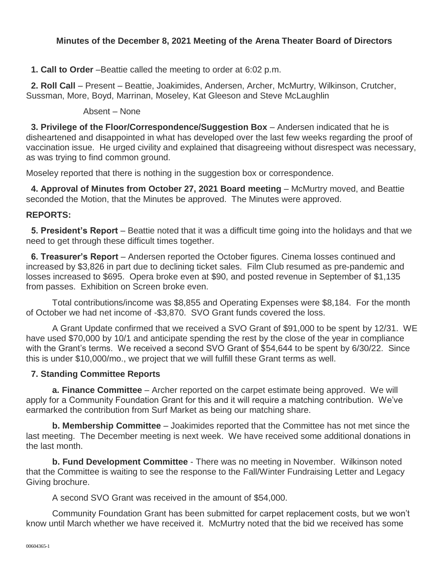# **Minutes of the December 8, 2021 Meeting of the Arena Theater Board of Directors**

**1. Call to Order** –Beattie called the meeting to order at 6:02 p.m.

**2. Roll Call** – Present – Beattie, Joakimides, Andersen, Archer, McMurtry, Wilkinson, Crutcher, Sussman, More, Boyd, Marrinan, Moseley, Kat Gleeson and Steve McLaughlin

#### Absent – None

**3. Privilege of the Floor/Correspondence/Suggestion Box** – Andersen indicated that he is disheartened and disappointed in what has developed over the last few weeks regarding the proof of vaccination issue. He urged civility and explained that disagreeing without disrespect was necessary, as was trying to find common ground.

Moseley reported that there is nothing in the suggestion box or correspondence.

**4. Approval of Minutes from October 27, 2021 Board meeting** – McMurtry moved, and Beattie seconded the Motion, that the Minutes be approved. The Minutes were approved.

#### **REPORTS:**

**5. President's Report** – Beattie noted that it was a difficult time going into the holidays and that we need to get through these difficult times together.

**6. Treasurer's Report** – Andersen reported the October figures. Cinema losses continued and increased by \$3,826 in part due to declining ticket sales. Film Club resumed as pre-pandemic and losses increased to \$695. Opera broke even at \$90, and posted revenue in September of \$1,135 from passes. Exhibition on Screen broke even.

Total contributions/income was \$8,855 and Operating Expenses were \$8,184. For the month of October we had net income of -\$3,870. SVO Grant funds covered the loss.

A Grant Update confirmed that we received a SVO Grant of \$91,000 to be spent by 12/31. WE have used \$70,000 by 10/1 and anticipate spending the rest by the close of the year in compliance with the Grant's terms. We received a second SVO Grant of \$54,644 to be spent by 6/30/22. Since this is under \$10,000/mo., we project that we will fulfill these Grant terms as well.

## **7. Standing Committee Reports**

**a. Finance Committee** – Archer reported on the carpet estimate being approved. We will apply for a Community Foundation Grant for this and it will require a matching contribution. We've earmarked the contribution from Surf Market as being our matching share.

**b. Membership Committee** – Joakimides reported that the Committee has not met since the last meeting. The December meeting is next week. We have received some additional donations in the last month.

**b. Fund Development Committee** - There was no meeting in November. Wilkinson noted that the Committee is waiting to see the response to the Fall/Winter Fundraising Letter and Legacy Giving brochure.

A second SVO Grant was received in the amount of \$54,000.

Community Foundation Grant has been submitted for carpet replacement costs, but we won't know until March whether we have received it. McMurtry noted that the bid we received has some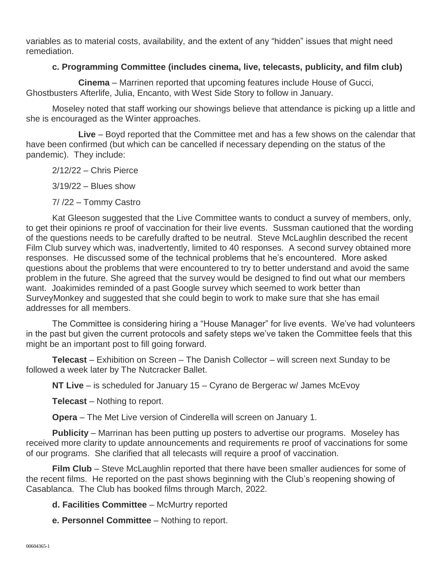variables as to material costs, availability, and the extent of any "hidden" issues that might need remediation.

## **c. Programming Committee (includes cinema, live, telecasts, publicity, and film club)**

**Cinema** – Marrinen reported that upcoming features include House of Gucci, Ghostbusters Afterlife, Julia, Encanto, with West Side Story to follow in January.

Moseley noted that staff working our showings believe that attendance is picking up a little and she is encouraged as the Winter approaches.

**Live** – Boyd reported that the Committee met and has a few shows on the calendar that have been confirmed (but which can be cancelled if necessary depending on the status of the pandemic). They include:

2/12/22 – Chris Pierce

3/19/22 – Blues show

7/ /22 – Tommy Castro

Kat Gleeson suggested that the Live Committee wants to conduct a survey of members, only, to get their opinions re proof of vaccination for their live events. Sussman cautioned that the wording of the questions needs to be carefully drafted to be neutral. Steve McLaughlin described the recent Film Club survey which was, inadvertently, limited to 40 responses. A second survey obtained more responses. He discussed some of the technical problems that he's encountered. More asked questions about the problems that were encountered to try to better understand and avoid the same problem in the future. She agreed that the survey would be designed to find out what our members want. Joakimides reminded of a past Google survey which seemed to work better than SurveyMonkey and suggested that she could begin to work to make sure that she has email addresses for all members.

The Committee is considering hiring a "House Manager" for live events. We've had volunteers in the past but given the current protocols and safety steps we've taken the Committee feels that this might be an important post to fill going forward.

**Telecast** – Exhibition on Screen – The Danish Collector – will screen next Sunday to be followed a week later by The Nutcracker Ballet.

**NT Live** – is scheduled for January 15 – Cyrano de Bergerac w/ James McEvoy

**Telecast** – Nothing to report.

**Opera** – The Met Live version of Cinderella will screen on January 1.

**Publicity** – Marrinan has been putting up posters to advertise our programs. Moseley has received more clarity to update announcements and requirements re proof of vaccinations for some of our programs. She clarified that all telecasts will require a proof of vaccination.

**Film Club** – Steve McLaughlin reported that there have been smaller audiences for some of the recent films. He reported on the past shows beginning with the Club's reopening showing of Casablanca. The Club has booked films through March, 2022.

**d. Facilities Committee** – McMurtry reported

**e. Personnel Committee** – Nothing to report.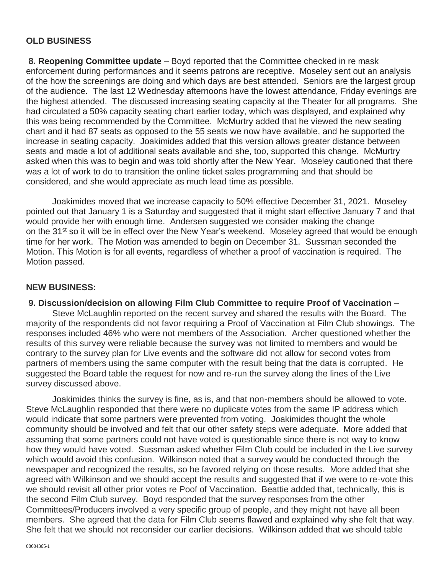## **OLD BUSINESS**

**8. Reopening Committee update** – Boyd reported that the Committee checked in re mask enforcement during performances and it seems patrons are receptive. Moseley sent out an analysis of the how the screenings are doing and which days are best attended. Seniors are the largest group of the audience. The last 12 Wednesday afternoons have the lowest attendance, Friday evenings are the highest attended. The discussed increasing seating capacity at the Theater for all programs. She had circulated a 50% capacity seating chart earlier today, which was displayed, and explained why this was being recommended by the Committee. McMurtry added that he viewed the new seating chart and it had 87 seats as opposed to the 55 seats we now have available, and he supported the increase in seating capacity. Joakimides added that this version allows greater distance between seats and made a lot of additional seats available and she, too, supported this change. McMurtry asked when this was to begin and was told shortly after the New Year. Moseley cautioned that there was a lot of work to do to transition the online ticket sales programming and that should be considered, and she would appreciate as much lead time as possible.

Joakimides moved that we increase capacity to 50% effective December 31, 2021. Moseley pointed out that January 1 is a Saturday and suggested that it might start effective January 7 and that would provide her with enough time. Andersen suggested we consider making the change on the 31<sup>st</sup> so it will be in effect over the New Year's weekend. Moseley agreed that would be enough time for her work. The Motion was amended to begin on December 31. Sussman seconded the Motion. This Motion is for all events, regardless of whether a proof of vaccination is required. The Motion passed.

### **NEW BUSINESS:**

#### **9. Discussion/decision on allowing Film Club Committee to require Proof of Vaccination** –

Steve McLaughlin reported on the recent survey and shared the results with the Board. The majority of the respondents did not favor requiring a Proof of Vaccination at Film Club showings. The responses included 46% who were not members of the Association. Archer questioned whether the results of this survey were reliable because the survey was not limited to members and would be contrary to the survey plan for Live events and the software did not allow for second votes from partners of members using the same computer with the result being that the data is corrupted. He suggested the Board table the request for now and re-run the survey along the lines of the Live survey discussed above.

Joakimides thinks the survey is fine, as is, and that non-members should be allowed to vote. Steve McLaughlin responded that there were no duplicate votes from the same IP address which would indicate that some partners were prevented from voting. Joakimides thought the whole community should be involved and felt that our other safety steps were adequate. More added that assuming that some partners could not have voted is questionable since there is not way to know how they would have voted. Sussman asked whether Film Club could be included in the Live survey which would avoid this confusion. Wilkinson noted that a survey would be conducted through the newspaper and recognized the results, so he favored relying on those results. More added that she agreed with Wilkinson and we should accept the results and suggested that if we were to re-vote this we should revisit all other prior votes re Poof of Vaccination. Beattie added that, technically, this is the second Film Club survey. Boyd responded that the survey responses from the other Committees/Producers involved a very specific group of people, and they might not have all been members. She agreed that the data for Film Club seems flawed and explained why she felt that way. She felt that we should not reconsider our earlier decisions. Wilkinson added that we should table